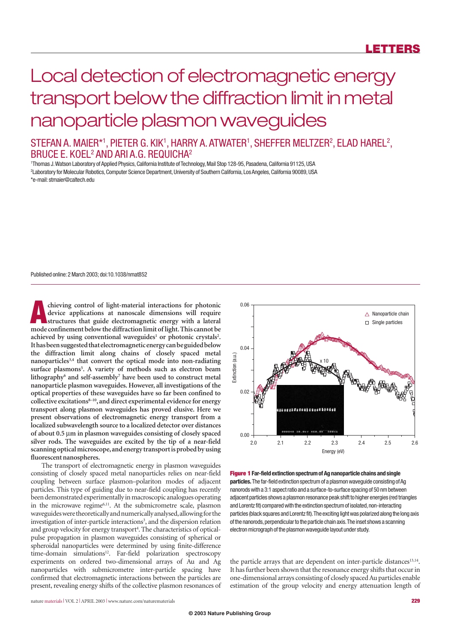# Local detection of electromagnetic energy transport below the diffraction limit in metal nanoparticle plasmon waveguides

### STEFAN A. MAIER\*1, PIETER G. KIK1, HARRY A. ATWATER1, SHEFFER MELTZER2, ELAD HAREL2, BRUCE E. KOEL<sup>2</sup> AND ARI A.G. REQUICHA<sup>2</sup>

1 Thomas J.Watson Laboratory of Applied Physics,California Institute of Technology,Mail Stop 128-95,Pasadena,California 91125,USA <sup>2</sup>Laboratory for Molecular Robotics, Computer Science Department, University of Southern California, Los Angeles, California 90089, USA \*e-mail:stmaier@caltech.edu

Published online:2 March 2003; doi:10.1038/nmat852

**A** chieving control of light-material interactions for photonic device applications at nanoscale dimensions will require<br>structures that guide electromagnetic energy with a lateral<br>media confinement below the diffraction **device applications at nanoscale dimensions will require structures that guide electromagnetic energy with a lateral mode confinement below the diffraction limit of light.This cannot be** achieved by using conventional waveguides<sup>1</sup> or photonic crystals<sup>2</sup>. **It has been suggested that electromagnetic energy can be guided below the diffraction limit along chains of closely spaced metal nanoparticles3,4 that convert the optical mode into non-radiating surface plasmons5 . A variety of methods such as electron beam lithography6 and self-assembly7 have been used to construct metal nanoparticle plasmon waveguides. However, all investigations of the optical properties of these waveguides have so far been confined to collective excitations8–10, and direct experimental evidence for energy transport along plasmon waveguides has proved elusive. Here we present observations of electromagnetic energy transport from a localized subwavelength source to a localized detector over distances of about 0.5** µ**m in plasmon waveguides consisting of closely spaced silver rods. The waveguides are excited by the tip of a near-field scanning optical microscope,and energy transport is probed by using fluorescent nanospheres.**

The transport of electromagnetic energy in plasmon waveguides consisting of closely spaced metal nanoparticles relies on near-field coupling between surface plasmon–polariton modes of adjacent particles. This type of guiding due to near-field coupling has recently been demonstrated experimentally in macroscopic analogues operating in the microwave regime<sup>6,11</sup>. At the submicrometre scale, plasmon waveguides were theoretically and numerically analysed,allowing for the investigation of inter-particle interactions<sup>3</sup>, and the dispersion relation and group velocity for energy transport<sup>4</sup>. The characteristics of opticalpulse propagation in plasmon waveguides consisting of spherical or spheroidal nanoparticles were determined by using finite-difference time-domain simulations<sup>12</sup>. Far-field polarization spectroscopy experiments on ordered two-dimensional arrays of Au and Ag nanoparticles with submicrometre inter-particle spacing have confirmed that electromagnetic interactions between the particles are present, revealing energy shifts of the collective plasmon resonances of



**Figure 1 Far-field extinction spectrum of Ag nanoparticle chains and single particles.**The far-field extinction spectrum of a plasmon waveguide consisting of Ag nanorods with a 3:1 aspect ratio and a surface-to-surface spacing of 50 nm between adjacent particles shows a plasmon resonance peak shift to higher energies (red triangles and Lorentz fit) compared with the extinction spectrum of isolated, non-interacting particles (black squares and Lorentz fit). The exciting light was polarized along the long axis of the nanorods, perpendicular to the particle chain axis. The inset shows a scanning electron micrograph of the plasmon waveguide layout under study.

the particle arrays that are dependent on inter-particle distances $13,14$ . It has further been shown that the resonance energy shifts that occur in one-dimensional arrays consisting of closely spaced Au particles enable estimation of the group velocity and energy attenuation length of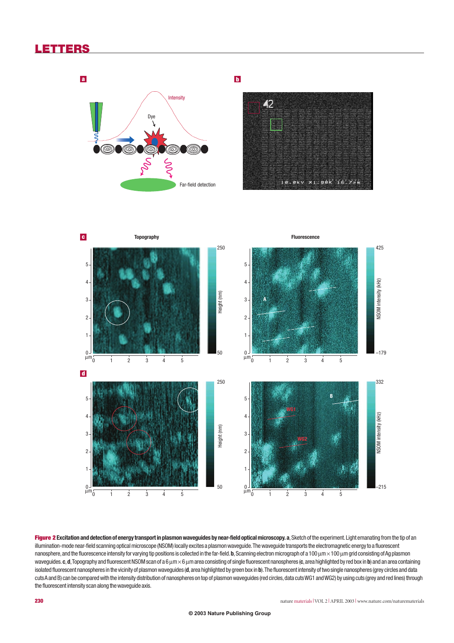## **LETTERS**



### **b**





Figure 2 Excitation and detection of energy transport in plasmon waveguides by near-field optical microscopy. a, Sketch of the experiment. Light emanating from the tip of an illumination-mode near-field scanning optical microscope (NSOM) locally excites a plasmon waveguide.The waveguide transports the electromagnetic energy to a fluorescent nanosphere, and the fluorescence intensity for varying tip positions is collected in the far-field. b, Scanning electron micrograph of a 100  $\mu$ m × 100  $\mu$ m grid consisting of Ag plasmon waveguides. **c**, **d**, Topography and fluorescent NSOM scan of a 6  $\mu$ m  $\times$ 6  $\mu$ m area consisting of single fluorescent nanospheres (**c**, area highlighted by red box in **b**) and an area containing isolated fluorescent nanospheres in the vicinity of plasmon waveguides (**d**,area highlighted by green box in **b**).The fluorescent intensity of two single nanospheres (grey circles and data cuts A and B) can be compared with the intensity distribution of nanospheres on top of plasmon waveguides (red circles,data cuts WG1 and WG2) by using cuts (grey and red lines) through the fluorescent intensity scan along the waveguide axis.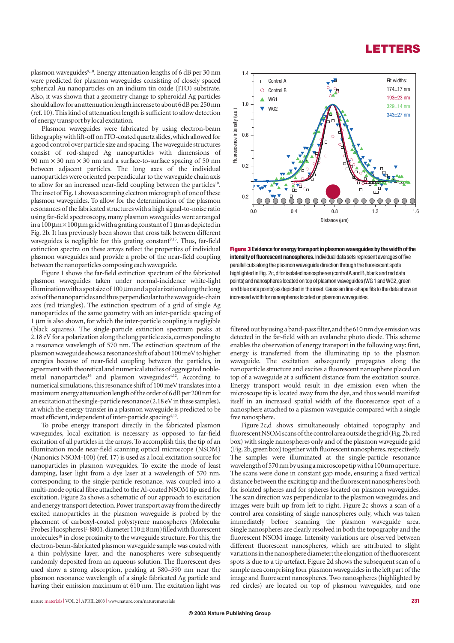## **LETTERS**

plasmon waveguides<sup>9,10</sup>. Energy attenuation lengths of 6 dB per 30 nm were predicted for plasmon waveguides consisting of closely spaced spherical Au nanoparticles on an indium tin oxide (ITO) substrate. Also, it was shown that a geometry change to spheroidal Ag particles should allow for an attenuation length increase to about 6dB per 250nm (ref. 10). This kind of attenuation length is sufficient to allow detection of energy transport by local excitation.

Plasmon waveguides were fabricated by using electron-beam lithography with lift-off on ITO-coated quartz slides,which allowed for a good control over particle size and spacing. The waveguide structures consist of rod-shaped Ag nanoparticles with dimensions of 90 nm  $\times$  30 nm  $\times$  30 nm and a surface-to-surface spacing of 50 nm between adjacent particles. The long axes of the individual nanoparticles were oriented perpendicular to the waveguide chain axis to allow for an increased near-field coupling between the particles<sup>10</sup>. The inset of Fig.1 shows a scanning electron micrograph of one of these plasmon waveguides. To allow for the determination of the plasmon resonances of the fabricated structures with a high signal-to-noise ratio using far-field spectroscopy, many plasmon waveguides were arranged in a  $100 \mu m \times 100 \mu m$  grid with a grating constant of 1  $\mu$ m as depicted in Fig. 2b. It has previously been shown that cross talk between different waveguides is negligible for this grating constant<sup>9,15</sup>. Thus, far-field extinction spectra on these arrays reflect the properties of individual plasmon waveguides and provide a probe of the near-field coupling between the nanoparticles composing each waveguide.

Figure 1 shows the far-field extinction spectrum of the fabricated plasmon waveguides taken under normal-incidence white-light illumination with a spot size of 100µm and a polarization along the long axis of the nanoparticles and thus perpendicular to the waveguide-chain axis (red triangles). The extinction spectrum of a grid of single Ag nanoparticles of the same geometry with an inter-particle spacing of 1 µm is also shown, for which the inter-particle coupling is negligible (black squares). The single-particle extinction spectrum peaks at 2.18 eV for a polarization along the long particle axis, corresponding to a resonance wavelength of 570 nm. The extinction spectrum of the plasmon waveguide shows a resonance shift of about 100meV to higher energies because of near-field coupling between the particles, in agreement with theoretical and numerical studies of aggregated noblemetal nanoparticles<sup>16</sup> and plasmon waveguides<sup>4,12</sup>. According to numerical simulations,this resonance shift of 100 meV translates into a maximum energy attenuation length of the order of 6dB per 200nm for an excitation at the single-particle resonance (2.18 eV in these samples), at which the energy transfer in a plasmon waveguide is predicted to be most efficient, independent of inter-particle spacing<sup>4,12</sup>.

To probe energy transport directly in the fabricated plasmon waveguides, local excitation is necessary as opposed to far-field excitation of all particles in the arrays. To accomplish this, the tip of an illumination mode near-field scanning optical microscope (NSOM) (Nanonics NSOM-100) (ref. 17) is used as a local excitation source for nanoparticles in plasmon waveguides. To excite the mode of least damping, laser light from a dye laser at a wavelength of 570 nm, corresponding to the single-particle resonance, was coupled into a multi-mode optical fibre attached to the Al-coated NSOM tip used for excitation. Figure 2a shows a schematic of our approach to excitation and energy transport detection.Power transport away from the directly excited nanoparticles in the plasmon waveguide is probed by the placement of carboxyl-coated polystyrene nanospheres (Molecular Probes Fluospheres F-8801, diameter  $110 \pm 8$  nm) filled with fluorescent molecules<sup>18</sup> in close proximity to the waveguide structure. For this, the electron-beam-fabricated plasmon waveguide sample was coated with a thin polylysine layer, and the nanospheres were subsequently randomly deposited from an aqueous solution. The fluorescent dyes used show a strong absorption, peaking at 580–590 nm near the plasmon resonance wavelength of a single fabricated Ag particle and having their emission maximum at 610 nm. The excitation light was



**Figure 3 Evidence for energy transport in plasmon waveguides by the width of the intensity of fluorescent nanospheres.** Individual data sets represent averages of five parallel cuts along the plasmon waveguide direction through the fluorescent spots highlighted in Fig. 2c, d for isolated nanospheres (control A and B, black and red data points) and nanospheres located on top of plasmon wavequides (WG 1 and WG2, green and blue data points) as depicted in the inset.Gaussian line-shape fits to the data show an increased width for nanospheres located on plasmon waveguides.

filtered out by using a band-pass filter,and the 610 nm dye emission was detected in the far-field with an avalanche photo diode. This scheme enables the observation of energy transport in the following way: first, energy is transferred from the illuminating tip to the plasmon waveguide. The excitation subsequently propagates along the nanoparticle structure and excites a fluorescent nanosphere placed on top of a waveguide at a sufficient distance from the excitation source. Energy transport would result in dye emission even when the microscope tip is located away from the dye, and thus would manifest itself in an increased spatial width of the fluorescence spot of a nanosphere attached to a plasmon waveguide compared with a single free nanosphere.

Figure 2c,d shows simultaneously obtained topography and fluorescent NSOM scans of the control area outside the grid (Fig.2b,red box) with single nanospheres only and of the plasmon waveguide grid (Fig. 2b, green box) together with fluorescent nanospheres, respectively. The samples were illuminated at the single-particle resonance wavelength of 570 nm by using a microscope tip with a 100 nm aperture. The scans were done in constant gap mode, ensuring a fixed vertical distance between the exciting tip and the fluorescent nanospheres both for isolated spheres and for spheres located on plasmon waveguides. The scan direction was perpendicular to the plasmon waveguides, and images were built up from left to right. Figure 2c shows a scan of a control area consisting of single nanospheres only, which was taken immediately before scanning the plasmon waveguide area. Single nanospheres are clearly resolved in both the topography and the fluorescent NSOM image. Intensity variations are observed between different fluorescent nanospheres, which are attributed to slight variations in the nanosphere diameter; the elongation of the fluorescent spots is due to a tip artefact. Figure 2d shows the subsequent scan of a sample area comprising four plasmon waveguides in the left part of the image and fluorescent nanospheres. Two nanospheres (highlighted by red circles) are located on top of plasmon waveguides, and one